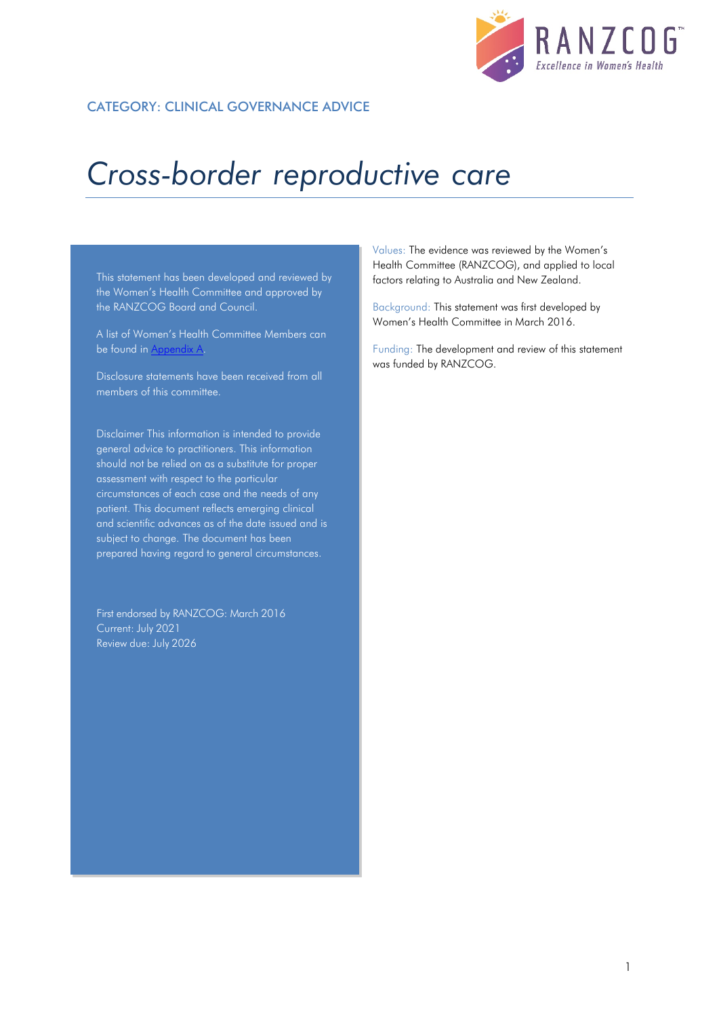

### CATEGORY: CLINICAL GOVERNANCE ADVICE

# *Cross-border reproductive care*

This statement has been developed and reviewed by the Women's Health Committee and approved by the RANZCOG Board and Council.

A list of Women's Health Committee Members can be found in Appendix A.

Disclosure statements have been received from all members of this committee.

Disclaimer This information is intended to provide general advice to practitioners. This information should not be relied on as a substitute for proper assessment with respect to the particular circumstances of each case and the needs of any patient. This document reflects emerging clinical and scientific advances as of the date issued and is subject to change. The document has been prepared having regard to general circumstances.

First endorsed by RANZCOG: March 2016 Current: July 2021 Review due: July 2026

Values: The evidence was reviewed by the Women's Health Committee (RANZCOG), and applied to local factors relating to Australia and New Zealand.

Background: This statement was first developed by Women's Health Committee in March 2016.

Funding: The development and review of this statement was funded by RANZCOG.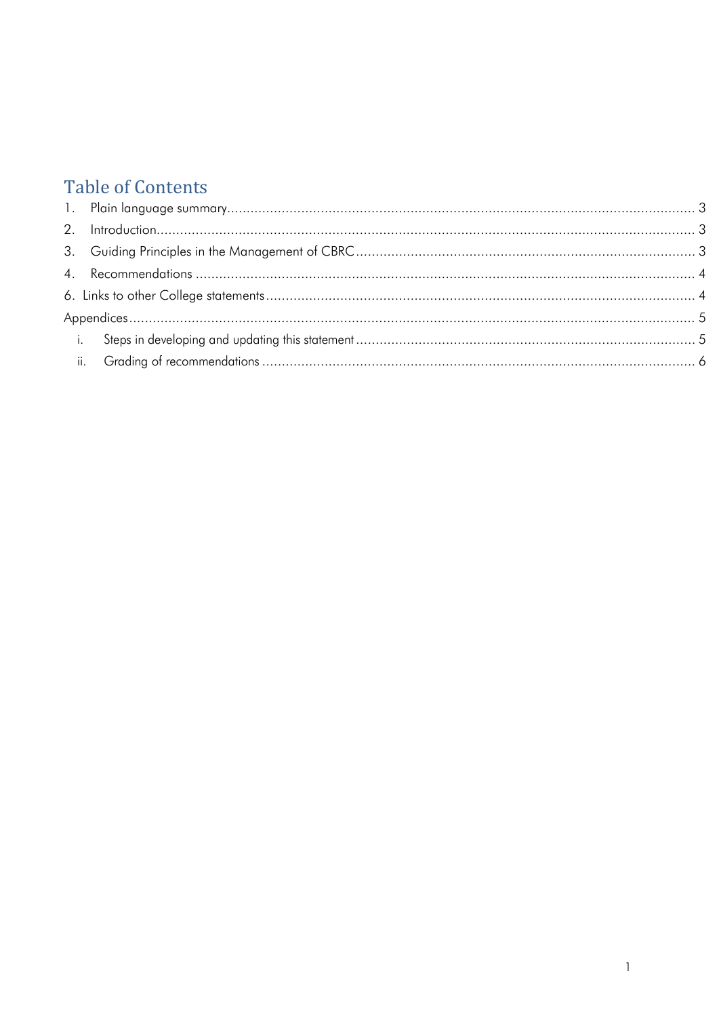# **Table of Contents**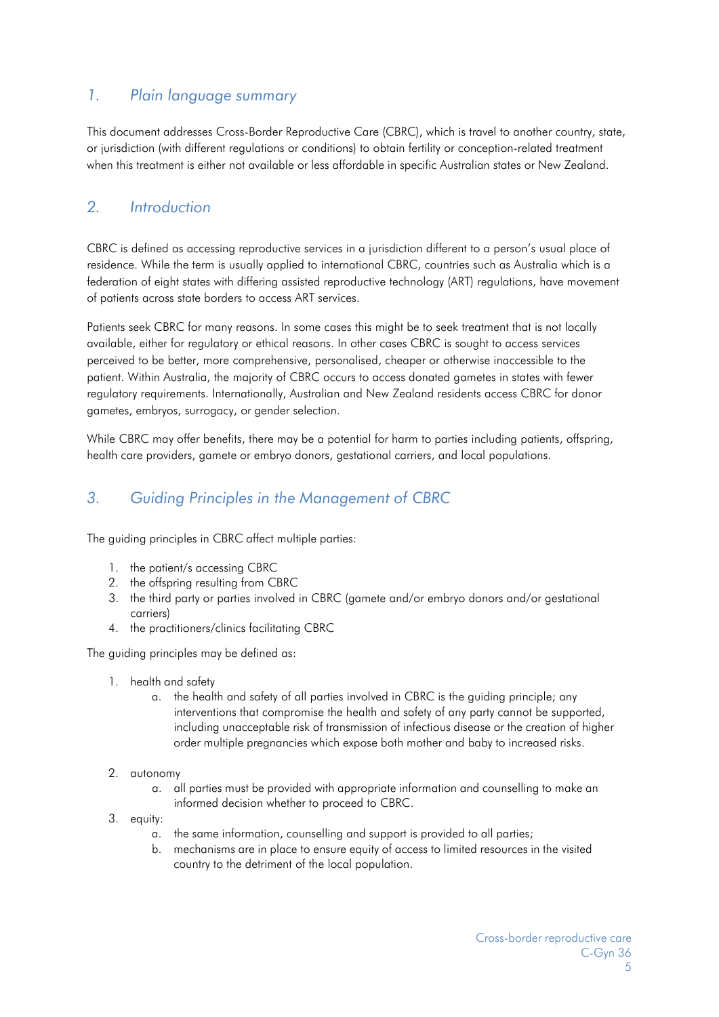# <span id="page-2-0"></span>*1. Plain language summary*

This document addresses Cross-Border Reproductive Care (CBRC), which is travel to another country, state, or jurisdiction (with different regulations or conditions) to obtain fertility or conception-related treatment when this treatment is either not available or less affordable in specific Australian states or New Zealand.

# <span id="page-2-1"></span>*2. Introduction*

CBRC is defined as accessing reproductive services in a jurisdiction different to a person's usual place of residence. While the term is usually applied to international CBRC, countries such as Australia which is a federation of eight states with differing assisted reproductive technology (ART) regulations, have movement of patients across state borders to access ART services.

Patients seek CBRC for many reasons. In some cases this might be to seek treatment that is not locally available, either for regulatory or ethical reasons. In other cases CBRC is sought to access services perceived to be better, more comprehensive, personalised, cheaper or otherwise inaccessible to the patient. Within Australia, the majority of CBRC occurs to access donated gametes in states with fewer regulatory requirements. Internationally, Australian and New Zealand residents access CBRC for donor gametes, embryos, surrogacy, or gender selection.

While CBRC may offer benefits, there may be a potential for harm to parties including patients, offspring, health care providers, gamete or embryo donors, gestational carriers, and local populations.

# <span id="page-2-2"></span>*3. Guiding Principles in the Management of CBRC*

The guiding principles in CBRC affect multiple parties:

- 1. the patient/s accessing CBRC
- 2. the offspring resulting from CBRC
- 3. the third party or parties involved in CBRC (gamete and/or embryo donors and/or gestational carriers)
- 4. the practitioners/clinics facilitating CBRC

The guiding principles may be defined as:

- 1. health and safety
	- a. the health and safety of all parties involved in CBRC is the guiding principle; any interventions that compromise the health and safety of any party cannot be supported, including unacceptable risk of transmission of infectious disease or the creation of higher order multiple pregnancies which expose both mother and baby to increased risks.
- 2. autonomy
	- a. all parties must be provided with appropriate information and counselling to make an informed decision whether to proceed to CBRC.
- 3. equity:
	- a. the same information, counselling and support is provided to all parties;
	- b. mechanisms are in place to ensure equity of access to limited resources in the visited country to the detriment of the local population.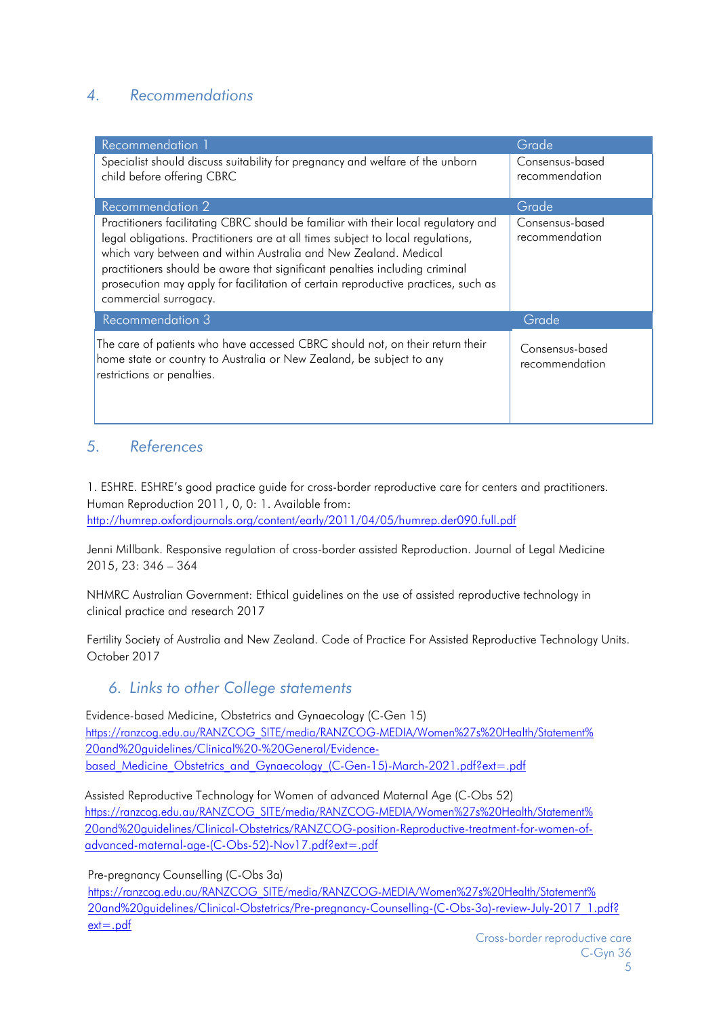# <span id="page-3-0"></span>*4. Recommendations*

| Recommendation 1                                                                                                                                                                                                                                                                                                                                                                                                                       | Grade                             |
|----------------------------------------------------------------------------------------------------------------------------------------------------------------------------------------------------------------------------------------------------------------------------------------------------------------------------------------------------------------------------------------------------------------------------------------|-----------------------------------|
| Specialist should discuss suitability for pregnancy and welfare of the unborn<br>child before offering CBRC                                                                                                                                                                                                                                                                                                                            | Consensus-based<br>recommendation |
| Recommendation 2                                                                                                                                                                                                                                                                                                                                                                                                                       | Grade                             |
| Practitioners facilitating CBRC should be familiar with their local regulatory and<br>legal obligations. Practitioners are at all times subject to local regulations,<br>which vary between and within Australia and New Zealand. Medical<br>practitioners should be aware that significant penalties including criminal<br>prosecution may apply for facilitation of certain reproductive practices, such as<br>commercial surrogacy. | Consensus-based<br>recommendation |
| <b>Recommendation 3</b>                                                                                                                                                                                                                                                                                                                                                                                                                | Grade                             |
| The care of patients who have accessed CBRC should not, on their return their<br>home state or country to Australia or New Zealand, be subject to any<br>restrictions or penalties.                                                                                                                                                                                                                                                    | Consensus-based<br>recommendation |

## *5. References*

1. ESHRE. ESHRE's good practice guide for cross-border reproductive care for centers and practitioners. Human Reproduction 2011, 0, 0: 1. Available from: <http://humrep.oxfordjournals.org/content/early/2011/04/05/humrep.der090.full.pdf>

Jenni Millbank. Responsive regulation of cross-border assisted Reproduction. Journal of Legal Medicine 2015, 23: 346 – 364

NHMRC Australian Government: Ethical guidelines on the use of assisted reproductive technology in clinical practice and research 2017

<span id="page-3-1"></span>Fertility Society of Australia and New Zealand. Code of Practice For Assisted Reproductive Technology Units. October 2017

### *6. Links to other College statements*

Evidence-based Medicine, Obstetrics and Gynaecology (C-Gen 15) [https://ranzcog.edu.au/RANZCOG\\_SITE/media/RANZCOG-MEDIA/Women%27s%20Health/Statement%](https://ranzcog.edu.au/RANZCOG_SITE/media/RANZCOG-MEDIA/Women%27s%20Health/Statement%20and%20guidelines/Clinical%20-%20General/Evidence-based_Medicine_Obstetrics_and_Gynaecology_(C-Gen-15)-March-2021.pdf?ext=.pdf) [20and%20guidelines/Clinical%20-%20General/Evidence](https://ranzcog.edu.au/RANZCOG_SITE/media/RANZCOG-MEDIA/Women%27s%20Health/Statement%20and%20guidelines/Clinical%20-%20General/Evidence-based_Medicine_Obstetrics_and_Gynaecology_(C-Gen-15)-March-2021.pdf?ext=.pdf)based Medicine Obstetrics and Gynaecology (C-Gen-15)-March-2021.pdf?ext=.pdf

Assisted Reproductive Technology for Women of advanced Maternal Age (C-Obs 52) [https://ranzcog.edu.au/RANZCOG\\_SITE/media/RANZCOG-MEDIA/Women%27s%20Health/Statement%](https://ranzcog.edu.au/RANZCOG_SITE/media/RANZCOG-MEDIA/Women%27s%20Health/Statement%20and%20guidelines/Clinical-Obstetrics/RANZCOG-position-Reproductive-treatment-for-women-of-advanced-maternal-age-(C-Obs-52)-Nov17.pdf?ext=.pdf) [20and%20guidelines/Clinical-Obstetrics/RANZCOG-position-Reproductive-treatment-for-women-of](https://ranzcog.edu.au/RANZCOG_SITE/media/RANZCOG-MEDIA/Women%27s%20Health/Statement%20and%20guidelines/Clinical-Obstetrics/RANZCOG-position-Reproductive-treatment-for-women-of-advanced-maternal-age-(C-Obs-52)-Nov17.pdf?ext=.pdf)[advanced-maternal-age-\(C-Obs-52\)-Nov17.pdf?ext=.pdf](https://ranzcog.edu.au/RANZCOG_SITE/media/RANZCOG-MEDIA/Women%27s%20Health/Statement%20and%20guidelines/Clinical-Obstetrics/RANZCOG-position-Reproductive-treatment-for-women-of-advanced-maternal-age-(C-Obs-52)-Nov17.pdf?ext=.pdf)

Pre-pregnancy Counselling (C-Obs 3a)

[https://ranzcog.edu.au/RANZCOG\\_SITE/media/RANZCOG-MEDIA/Women%27s%20Health/Statement%](https://ranzcog.edu.au/RANZCOG_SITE/media/RANZCOG-MEDIA/Women%27s%20Health/Statement%20and%20guidelines/Clinical-Obstetrics/Pre-pregnancy-Counselling-(C-Obs-3a)-review-July-2017_1.pdf?ext=.pdf) [20and%20guidelines/Clinical-Obstetrics/Pre-pregnancy-Counselling-\(C-Obs-3a\)-review-July-2017\\_1.pdf?](https://ranzcog.edu.au/RANZCOG_SITE/media/RANZCOG-MEDIA/Women%27s%20Health/Statement%20and%20guidelines/Clinical-Obstetrics/Pre-pregnancy-Counselling-(C-Obs-3a)-review-July-2017_1.pdf?ext=.pdf) [ext=.pdf](https://ranzcog.edu.au/RANZCOG_SITE/media/RANZCOG-MEDIA/Women%27s%20Health/Statement%20and%20guidelines/Clinical-Obstetrics/Pre-pregnancy-Counselling-(C-Obs-3a)-review-July-2017_1.pdf?ext=.pdf)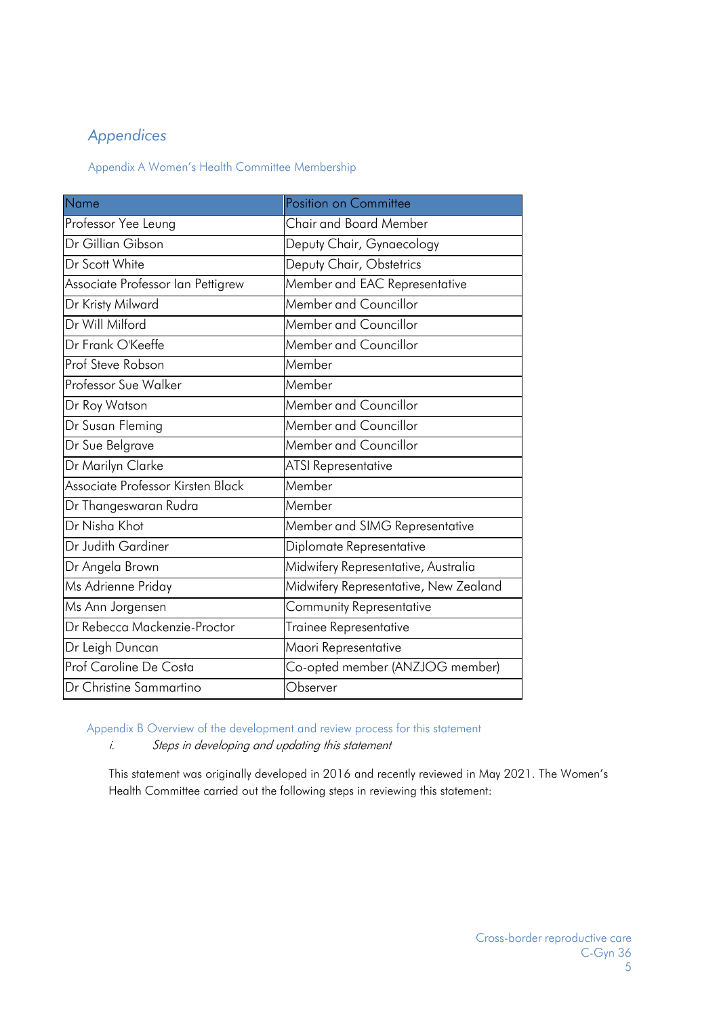# <span id="page-4-0"></span>*Appendices*

Appendix A Women's Health Committee Membership

| Name                              | Position on Committee                 |
|-----------------------------------|---------------------------------------|
| Professor Yee Leung               | <b>Chair and Board Member</b>         |
| Dr Gillian Gibson                 | Deputy Chair, Gynaecology             |
| Dr Scott White                    | Deputy Chair, Obstetrics              |
| Associate Professor Ian Pettigrew | Member and EAC Representative         |
| Dr Kristy Milward                 | Member and Councillor                 |
| Dr Will Milford                   | Member and Councillor                 |
| Dr Frank O'Keeffe                 | Member and Councillor                 |
| Prof Steve Robson                 | Member                                |
| <b>Professor Sue Walker</b>       | Member                                |
| Dr Roy Watson                     | Member and Councillor                 |
| Dr Susan Fleming                  | Member and Councillor                 |
| Dr Sue Belgrave                   | Member and Councillor                 |
| Dr Marilyn Clarke                 | <b>ATSI Representative</b>            |
| Associate Professor Kirsten Black | Member                                |
| Dr Thangeswaran Rudra             | Member                                |
| Dr Nisha Khot                     | Member and SIMG Representative        |
| Dr Judith Gardiner                | Diplomate Representative              |
| Dr Angela Brown                   | Midwifery Representative, Australia   |
| Ms Adrienne Priday                | Midwifery Representative, New Zealand |
| Ms Ann Jorgensen                  | Community Representative              |
| Dr Rebecca Mackenzie-Proctor      | Trainee Representative                |
| Dr Leigh Duncan                   | Maori Representative                  |
| Prof Caroline De Costa            | Co-opted member (ANZJOG member)       |
| Dr Christine Sammartino           | Observer                              |

<span id="page-4-1"></span>Appendix B Overview of the development and review process for this statement

i. Steps in developing and updating this statement

This statement was originally developed in 2016 and recently reviewed in May 2021. The Women's Health Committee carried out the following steps in reviewing this statement: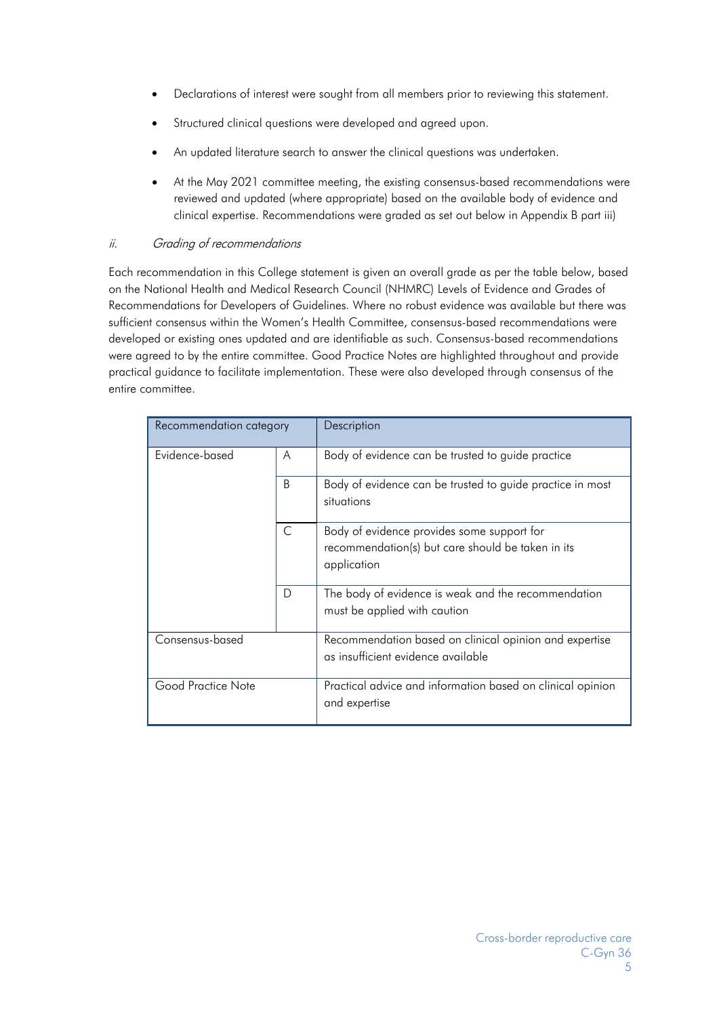- Declarations of interest were sought from all members prior to reviewing this statement.
- Structured clinical questions were developed and agreed upon.
- An updated literature search to answer the clinical questions was undertaken.
- At the May 2021 committee meeting, the existing consensus-based recommendations were reviewed and updated (where appropriate) based on the available body of evidence and clinical expertise. Recommendations were graded as set out below in Appendix B part iii)

### <span id="page-5-0"></span>ii. Grading of recommendations

Each recommendation in this College statement is given an overall grade as per the table below, based on the National Health and Medical Research Council (NHMRC) Levels of Evidence and Grades of Recommendations for Developers of Guidelines. Where no robust evidence was available but there was sufficient consensus within the Women's Health Committee, consensus-based recommendations were developed or existing ones updated and are identifiable as such. Consensus-based recommendations were agreed to by the entire committee. Good Practice Notes are highlighted throughout and provide practical guidance to facilitate implementation. These were also developed through consensus of the entire committee.

| Recommendation category |   | Description                                                                                                    |
|-------------------------|---|----------------------------------------------------------------------------------------------------------------|
| Evidence-based          | A | Body of evidence can be trusted to guide practice                                                              |
|                         | B | Body of evidence can be trusted to guide practice in most<br>situations                                        |
|                         | C | Body of evidence provides some support for<br>recommendation(s) but care should be taken in its<br>application |
|                         | D | The body of evidence is weak and the recommendation<br>must be applied with caution                            |
| Consensus-based         |   | Recommendation based on clinical opinion and expertise<br>as insufficient evidence available                   |
| Good Practice Note      |   | Practical advice and information based on clinical opinion<br>and expertise                                    |